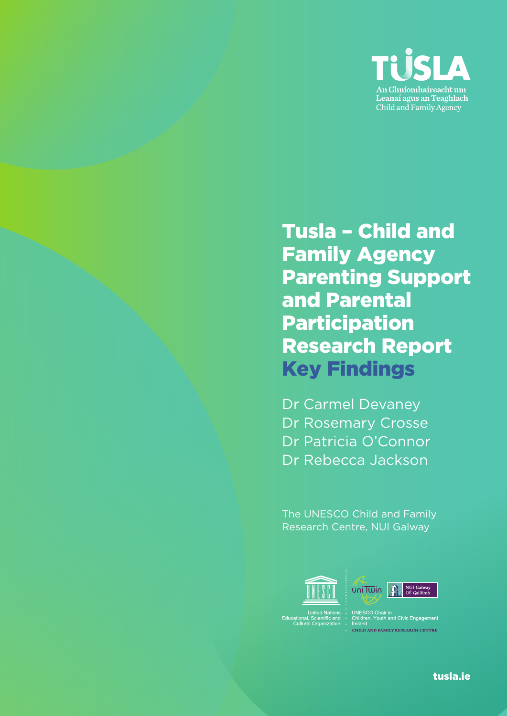

### Tusla – Child and Family Agency Parenting Support and Parental Participation Research Report Key Findings

Dr Carmel Devaney Dr Rosemary Crosse Dr Patricia O'Connor Dr Rebecca Jackson

The UNESCO Child and Family Research Centre, NUI Galway



Educational, Scientific and<br>Cultural Organization



UNESCO Chair in<br>Children, Youth and Civic Engagement<br>Ireland CHILD AND FAMILY RESEARCH CENTRE

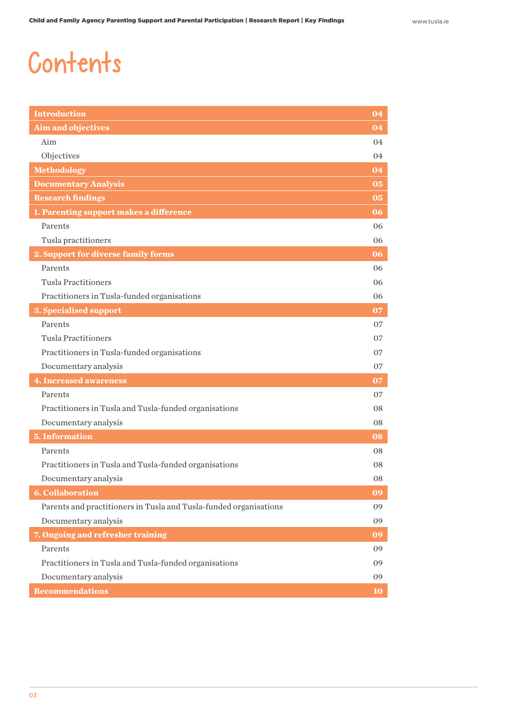## Contents

| <b>Introduction</b>                                               | 04 |
|-------------------------------------------------------------------|----|
| <b>Aim and objectives</b>                                         | 04 |
| Aim                                                               | 04 |
| Objectives                                                        | 04 |
| <b>Methodology</b>                                                | 04 |
| <b>Documentary Analysis</b>                                       | 05 |
| <b>Research findings</b>                                          | 05 |
| 1. Parenting support makes a difference                           | 06 |
| Parents                                                           | 06 |
| Tusla practitioners                                               | 06 |
| 2. Support for diverse family forms                               | 06 |
| Parents                                                           | 06 |
| <b>Tusla Practitioners</b>                                        | 06 |
| Practitioners in Tusla-funded organisations                       | 06 |
| 3. Specialised support                                            | 07 |
| Parents                                                           | 07 |
| <b>Tusla Practitioners</b>                                        | 07 |
| Practitioners in Tusla-funded organisations                       | 07 |
| Documentary analysis                                              | 07 |
| <b>4. Increased awareness</b>                                     | 07 |
| Parents                                                           | 07 |
| Practitioners in Tusla and Tusla-funded organisations             | 08 |
| Documentary analysis                                              | 08 |
| <b>5. Information</b>                                             | 08 |
| Parents                                                           | 08 |
| Practitioners in Tusla and Tusla-funded organisations             | 08 |
| Documentary analysis                                              | 08 |
| <b>6. Collaboration</b>                                           | 09 |
| Parents and practitioners in Tusla and Tusla-funded organisations | 09 |
| Documentary analysis                                              | 09 |
| 7. Ongoing and refresher training                                 | 09 |
| Parents                                                           | 09 |
| Practitioners in Tusla and Tusla-funded organisations             | 09 |
| Documentary analysis                                              | 09 |
| <b>Recommendations</b>                                            | 10 |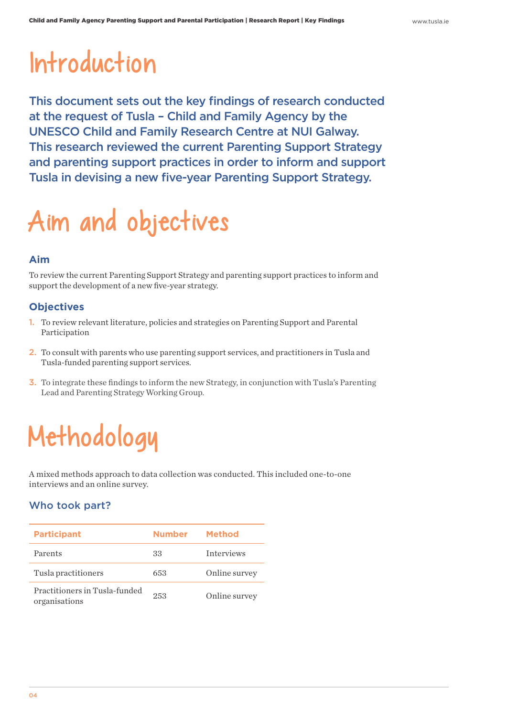## Introduction

This document sets out the key findings of research conducted at the request of Tusla – Child and Family Agency by the UNESCO Child and Family Research Centre at NUI Galway. This research reviewed the current Parenting Support Strategy and parenting support practices in order to inform and support Tusla in devising a new five-year Parenting Support Strategy.

# Aim and objectives

#### **Aim**

To review the current Parenting Support Strategy and parenting support practices to inform and support the development of a new five-year strategy.

#### **Objectives**

- 1. To review relevant literature, policies and strategies on Parenting Support and Parental Participation
- 2. To consult with parents who use parenting support services, and practitioners in Tusla and Tusla-funded parenting support services.
- 3. To integrate these findings to inform the new Strategy, in conjunction with Tusla's Parenting Lead and Parenting Strategy Working Group.

# Methodology

A mixed methods approach to data collection was conducted. This included one-to-one interviews and an online survey.

#### Who took part?

| <b>Participant</b>                             | Number | Method            |
|------------------------------------------------|--------|-------------------|
| Parents                                        | 33     | <b>Interviews</b> |
| Tusla practitioners                            | 653    | Online survey     |
| Practitioners in Tusla-funded<br>organisations | 253    | Online survey     |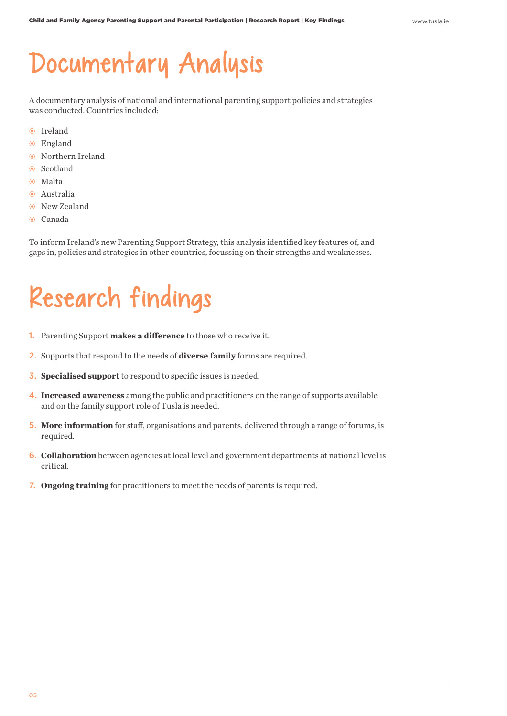### Documentary Analysis

A documentary analysis of national and international parenting support policies and strategies was conducted. Countries included:

- Ireland
- England
- Northern Ireland
- Scotland
- Malta
- Australia
- $\odot$  New Zealand
- Canada

To inform Ireland's new Parenting Support Strategy, this analysis identified key features of, and gaps in, policies and strategies in other countries, focussing on their strengths and weaknesses.

## Research findings

- 1. Parenting Support **makes a difference** to those who receive it.
- 2. Supports that respond to the needs of **diverse family** forms are required.
- 3. **Specialised support** to respond to specific issues is needed.
- 4. **Increased awareness** among the public and practitioners on the range of supports available and on the family support role of Tusla is needed.
- 5. **More information** for staff, organisations and parents, delivered through a range of forums, is required.
- 6. **Collaboration** between agencies at local level and government departments at national level is critical.
- 7. **Ongoing training** for practitioners to meet the needs of parents is required.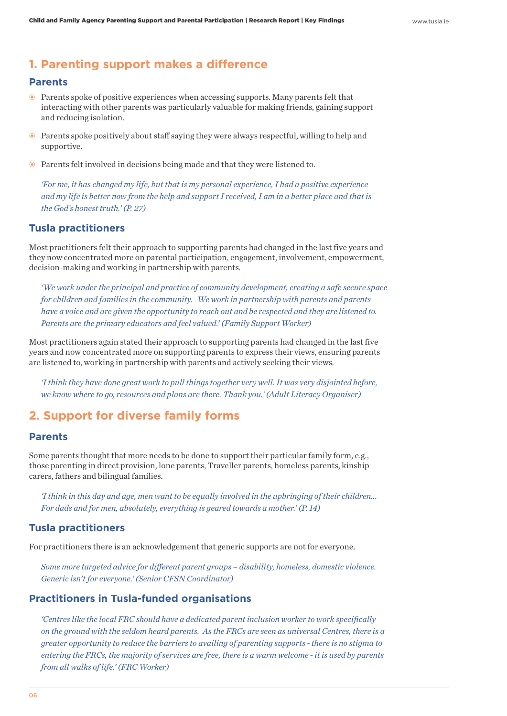#### **1. Parenting support makes a difference**

#### **Parents**

- Parents spoke of positive experiences when accessing supports. Many parents felt that interacting with other parents was particularly valuable for making friends, gaining support and reducing isolation.
- Parents spoke positively about staff saying they were always respectful, willing to help and supportive.
- Parents felt involved in decisions being made and that they were listened to.

*'For me, it has changed my life, but that is my personal experience, I had a positive experience and my life is better now from the help and support I received, I am in a better place and that is the God's honest truth.' (P. 27)* 

#### **Tusla practitioners**

Most practitioners felt their approach to supporting parents had changed in the last five years and they now concentrated more on parental participation, engagement, involvement, empowerment, decision-making and working in partnership with parents.

*'We work under the principal and practice of community development, creating a safe secure space for children and families in the community. We work in partnership with parents and parents have a voice and are given the opportunity to reach out and be respected and they are listened to. Parents are the primary educators and feel valued.' (Family Support Worker)*

Most practitioners again stated their approach to supporting parents had changed in the last five years and now concentrated more on supporting parents to express their views, ensuring parents are listened to, working in partnership with parents and actively seeking their views.

*'I think they have done great work to pull things together very well. It was very disjointed before, we know where to go, resources and plans are there. Thank you.' (Adult Literacy Organiser)*

#### **2. Support for diverse family forms**

#### **Parents**

Some parents thought that more needs to be done to support their particular family form, e.g., those parenting in direct provision, lone parents, Traveller parents, homeless parents, kinship carers, fathers and bilingual families.

*'I think in this day and age, men want to be equally involved in the upbringing of their children... For dads and for men, absolutely, everything is geared towards a mother.' (P. 14)*

#### **Tusla practitioners**

For practitioners there is an acknowledgement that generic supports are not for everyone.

*Some more targeted advice for different parent groups – disability, homeless, domestic violence. Generic isn't for everyone.' (Senior CFSN Coordinator)*

#### **Practitioners in Tusla-funded organisations**

*'Centres like the local FRC should have a dedicated parent inclusion worker to work specifically on the ground with the seldom heard parents. As the FRCs are seen as universal Centres, there is a greater opportunity to reduce the barriers to availing of parenting supports - there is no stigma to entering the FRCs, the majority of services are free, there is a warm welcome - it is used by parents from all walks of life.' (FRC Worker)*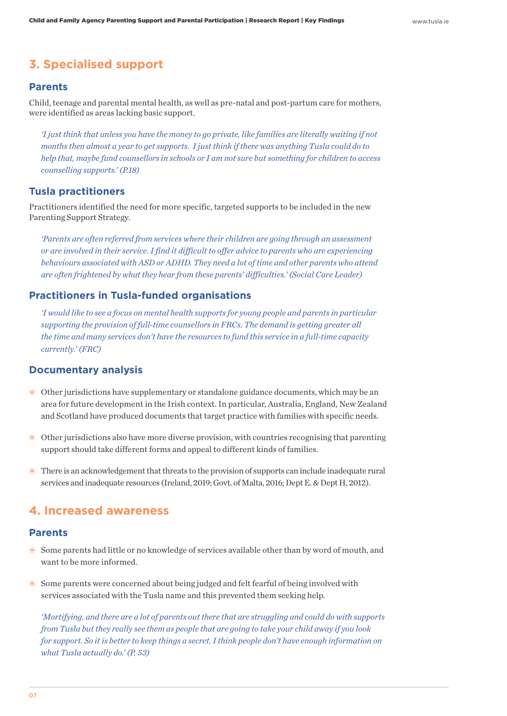#### **3. Specialised support**

#### **Parents**

Child, teenage and parental mental health, as well as pre-natal and post-partum care for mothers, were identified as areas lacking basic support.

*'I just think that unless you have the money to go private, like families are literally waiting if not months then almost a year to get supports. I just think if there was anything Tusla could do to help that, maybe fund counsellors in schools or I am not sure but something for children to access counselling supports.' (P.18)*

#### **Tusla practitioners**

Practitioners identified the need for more specific, targeted supports to be included in the new Parenting Support Strategy.

*'Parents are often referred from services where their children are going through an assessment or are involved in their service. I find it difficult to offer advice to parents who are experiencing behaviours associated with ASD or ADHD. They need a lot of time and other parents who attend are often frightened by what they hear from these parents' difficulties.' (Social Care Leader)*

#### **Practitioners in Tusla-funded organisations**

*'I would like to see a focus on mental health supports for young people and parents in particular supporting the provision of full-time counsellors in FRCs. The demand is getting greater all the time and many services don't have the resources to fund this service in a full-time capacity currently.' (FRC)*

#### **Documentary analysis**

- Other jurisdictions have supplementary or standalone guidance documents, which may be an area for future development in the Irish context. In particular, Australia, England, New Zealand and Scotland have produced documents that target practice with families with specific needs.
- Other jurisdictions also have more diverse provision, with countries recognising that parenting support should take different forms and appeal to different kinds of families.
- There is an acknowledgement that threats to the provision of supports can include inadequate rural services and inadequate resources (Ireland, 2019; Govt. of Malta, 2016; Dept E. & Dept H, 2012).

#### **4. Increased awareness**

#### **Parents**

- Some parents had little or no knowledge of services available other than by word of mouth, and want to be more informed.
- Some parents were concerned about being judged and felt fearful of being involved with services associated with the Tusla name and this prevented them seeking help.

*'Mortifying, and there are a lot of parents out there that are struggling and could do with supports from Tusla but they really see them as people that are going to take your child away if you look for support. So it is better to keep things a secret. I think people don't have enough information on what Tusla actually do.' (P. 53)*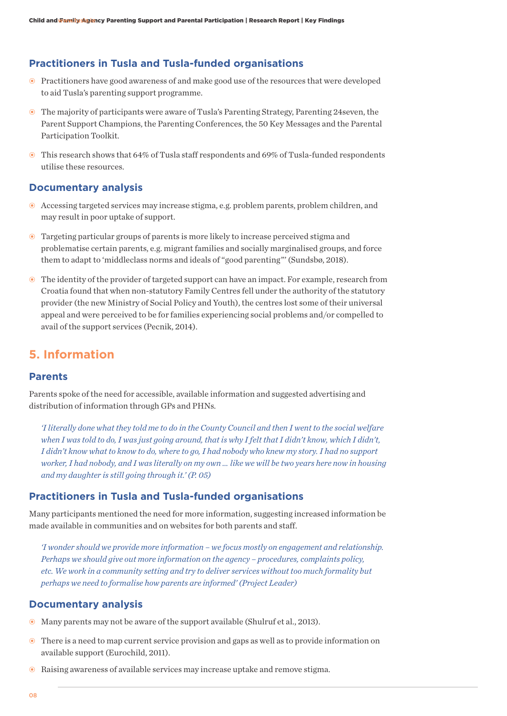#### **Practitioners in Tusla and Tusla-funded organisations**

- Practitioners have good awareness of and make good use of the resources that were developed to aid Tusla's parenting support programme.
- The majority of participants were aware of Tusla's Parenting Strategy, Parenting 24seven, the Parent Support Champions, the Parenting Conferences, the 50 Key Messages and the Parental Participation Toolkit.
- This research shows that 64% of Tusla staff respondents and 69% of Tusla-funded respondents utilise these resources.

#### **Documentary analysis**

- Accessing targeted services may increase stigma, e.g. problem parents, problem children, and may result in poor uptake of support.
- Targeting particular groups of parents is more likely to increase perceived stigma and problematise certain parents, e.g. migrant families and socially marginalised groups, and force them to adapt to 'middleclass norms and ideals of "good parenting"' (Sundsbø, 2018).
- The identity of the provider of targeted support can have an impact. For example, research from Croatia found that when non-statutory Family Centres fell under the authority of the statutory provider (the new Ministry of Social Policy and Youth), the centres lost some of their universal appeal and were perceived to be for families experiencing social problems and/or compelled to avail of the support services (Pecnik, 2014).

#### **5. Information**

#### **Parents**

Parents spoke of the need for accessible, available information and suggested advertising and distribution of information through GPs and PHNs.

*'I literally done what they told me to do in the County Council and then I went to the social welfare when I was told to do, I was just going around, that is why I felt that I didn't know, which I didn't, I didn't know what to know to do, where to go, I had nobody who knew my story. I had no support worker, I had nobody, and I was literally on my own … like we will be two years here now in housing and my daughter is still going through it.' (P. 05)*

#### **Practitioners in Tusla and Tusla-funded organisations**

Many participants mentioned the need for more information, suggesting increased information be made available in communities and on websites for both parents and staff.

*'I wonder should we provide more information – we focus mostly on engagement and relationship. Perhaps we should give out more information on the agency – procedures, complaints policy, etc. We work in a community setting and try to deliver services without too much formality but perhaps we need to formalise how parents are informed' (Project Leader)*

#### **Documentary analysis**

- Many parents may not be aware of the support available (Shulruf et al., 2013).
- There is a need to map current service provision and gaps as well as to provide information on available support (Eurochild, 2011).
- Raising awareness of available services may increase uptake and remove stigma.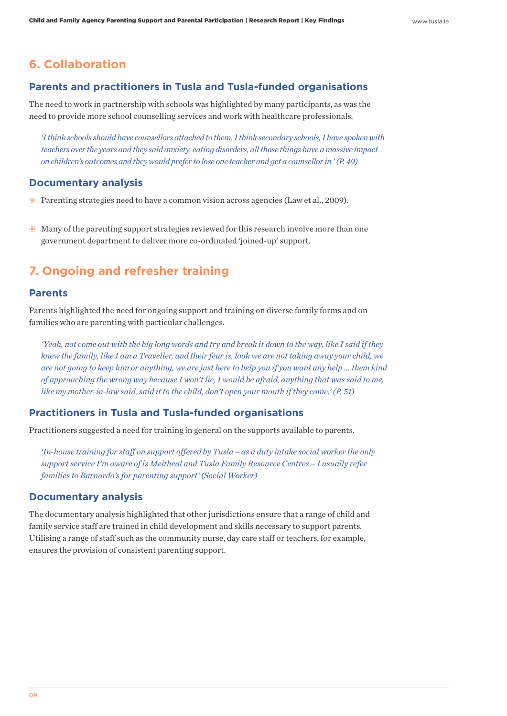#### **6. Collaboration**

#### **Parents and practitioners in Tusla and Tusla-funded organisations**

The need to work in partnership with schools was highlighted by many participants, as was the need to provide more school counselling services and work with healthcare professionals.

*'I think schools should have counsellors attached to them. I think secondary schools, I have spoken with teachers over the years and they said anxiety, eating disorders, all those things have a massive impact on children's outcomes and they would prefer to lose one teacher and get a counsellor in.' (P. 49)*

#### **Documentary analysis**

- Parenting strategies need to have a common vision across agencies (Law et al., 2009).
- Many of the parenting support strategies reviewed for this research involve more than one government department to deliver more co-ordinated 'joined-up' support.

#### **7. Ongoing and refresher training**

#### **Parents**

Parents highlighted the need for ongoing support and training on diverse family forms and on families who are parenting with particular challenges.

*'Yeah, not come out with the big long words and try and break it down to the way, like I said if they knew the family, like I am a Traveller, and their fear is, look we are not taking away your child, we are not going to keep him or anything, we are just here to help you if you want any help … them kind of approaching the wrong way because I won't lie, I would be afraid, anything that was said to me, like my mother-in-law said, said it to the child, don't open your mouth if they come.' (P. 51)*

#### **Practitioners in Tusla and Tusla-funded organisations**

Practitioners suggested a need for training in general on the supports available to parents.

*'In-house training for staff on support offered by Tusla – as a duty intake social worker the only support service I'm aware of is Meitheal and Tusla Family Resource Centres – I usually refer families to Barnardo's for parenting support' (Social Worker)*

#### **Documentary analysis**

The documentary analysis highlighted that other jurisdictions ensure that a range of child and family service staff are trained in child development and skills necessary to support parents. Utilising a range of staff such as the community nurse, day care staff or teachers, for example, ensures the provision of consistent parenting support.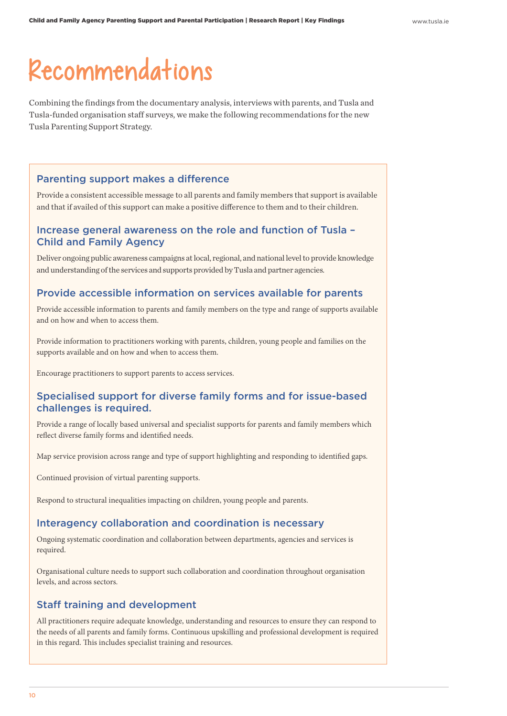### Recommendations

Combining the findings from the documentary analysis, interviews with parents, and Tusla and Tusla-funded organisation staff surveys, we make the following recommendations for the new Tusla Parenting Support Strategy.

#### Parenting support makes a difference

Provide a consistent accessible message to all parents and family members that support is available and that if availed of this support can make a positive difference to them and to their children.

#### Increase general awareness on the role and function of Tusla – Child and Family Agency

Deliver ongoing public awareness campaigns at local, regional, and national level to provide knowledge and understanding of the services and supports provided by Tusla and partner agencies.

#### Provide accessible information on services available for parents

Provide accessible information to parents and family members on the type and range of supports available and on how and when to access them.

Provide information to practitioners working with parents, children, young people and families on the supports available and on how and when to access them.

Encourage practitioners to support parents to access services.

#### Specialised support for diverse family forms and for issue-based challenges is required.

Provide a range of locally based universal and specialist supports for parents and family members which reflect diverse family forms and identified needs.

Map service provision across range and type of support highlighting and responding to identified gaps.

Continued provision of virtual parenting supports.

Respond to structural inequalities impacting on children, young people and parents.

#### Interagency collaboration and coordination is necessary

Ongoing systematic coordination and collaboration between departments, agencies and services is required.

Organisational culture needs to support such collaboration and coordination throughout organisation levels, and across sectors.

#### Staff training and development

All practitioners require adequate knowledge, understanding and resources to ensure they can respond to the needs of all parents and family forms. Continuous upskilling and professional development is required in this regard. This includes specialist training and resources.